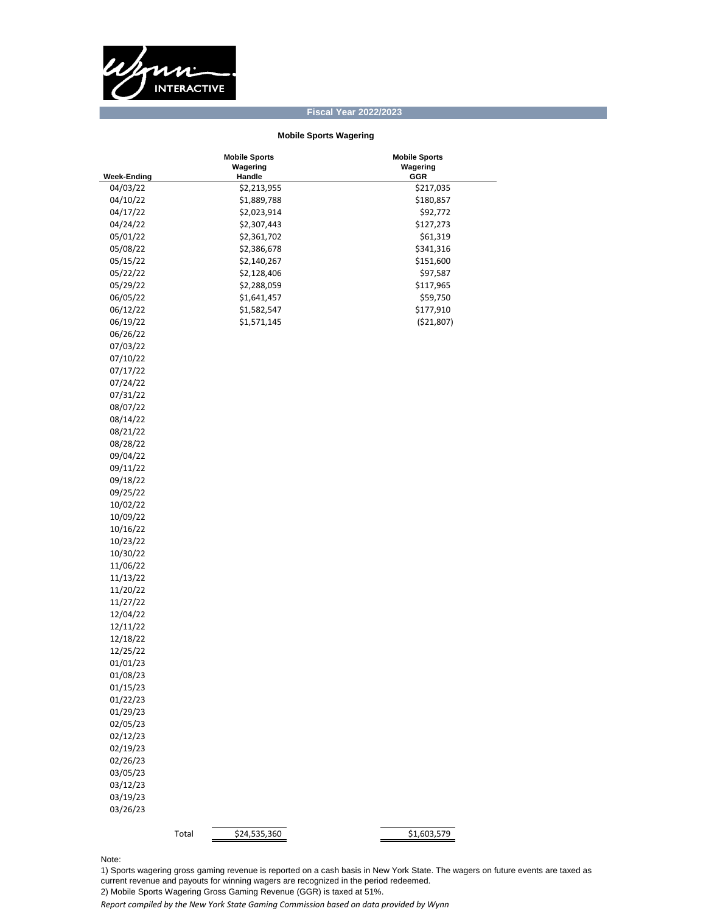

## **Fiscal Year 2022/2023**

## **Mobile Sports Wagering**

|                      | <b>Mobile Sports</b>  | <b>Mobile Sports</b> |
|----------------------|-----------------------|----------------------|
| <b>Week-Ending</b>   | Wagering<br>Handle    | Wagering<br>GGR      |
| 04/03/22             | \$2,213,955           | \$217,035            |
| 04/10/22             | \$1,889,788           | \$180,857            |
| 04/17/22             | \$2,023,914           | \$92,772             |
| 04/24/22             | \$2,307,443           | \$127,273            |
| 05/01/22             | \$2,361,702           | \$61,319             |
| 05/08/22             | \$2,386,678           | \$341,316            |
| 05/15/22             | \$2,140,267           | \$151,600            |
| 05/22/22             | \$2,128,406           | \$97,587             |
| 05/29/22             | \$2,288,059           | \$117,965            |
| 06/05/22             | \$1,641,457           | \$59,750             |
| 06/12/22             | \$1,582,547           | \$177,910            |
| 06/19/22             | \$1,571,145           | ( \$21,807)          |
| 06/26/22             |                       |                      |
| 07/03/22             |                       |                      |
| 07/10/22             |                       |                      |
|                      |                       |                      |
| 07/17/22<br>07/24/22 |                       |                      |
| 07/31/22             |                       |                      |
| 08/07/22             |                       |                      |
| 08/14/22             |                       |                      |
| 08/21/22             |                       |                      |
|                      |                       |                      |
| 08/28/22             |                       |                      |
| 09/04/22<br>09/11/22 |                       |                      |
| 09/18/22             |                       |                      |
| 09/25/22             |                       |                      |
| 10/02/22             |                       |                      |
| 10/09/22             |                       |                      |
| 10/16/22             |                       |                      |
| 10/23/22             |                       |                      |
| 10/30/22             |                       |                      |
| 11/06/22             |                       |                      |
| 11/13/22             |                       |                      |
| 11/20/22             |                       |                      |
| 11/27/22             |                       |                      |
| 12/04/22             |                       |                      |
| 12/11/22             |                       |                      |
| 12/18/22             |                       |                      |
| 12/25/22             |                       |                      |
| 01/01/23             |                       |                      |
| 01/08/23             |                       |                      |
| 01/15/23             |                       |                      |
| 01/22/23             |                       |                      |
| 01/29/23             |                       |                      |
| 02/05/23             |                       |                      |
| 02/12/23             |                       |                      |
| 02/19/23             |                       |                      |
| 02/26/23             |                       |                      |
| 03/05/23             |                       |                      |
| 03/12/23             |                       |                      |
| 03/19/23             |                       |                      |
| 03/26/23             |                       |                      |
|                      |                       |                      |
|                      | \$24,535,360<br>Total | \$1,603,579          |

Note:

1) Sports wagering gross gaming revenue is reported on a cash basis in New York State. The wagers on future events are taxed as current revenue and payouts for winning wagers are recognized in the period redeemed. 2) Mobile Sports Wagering Gross Gaming Revenue (GGR) is taxed at 51%.

*Report compiled by the New York State Gaming Commission based on data provided by Wynn*